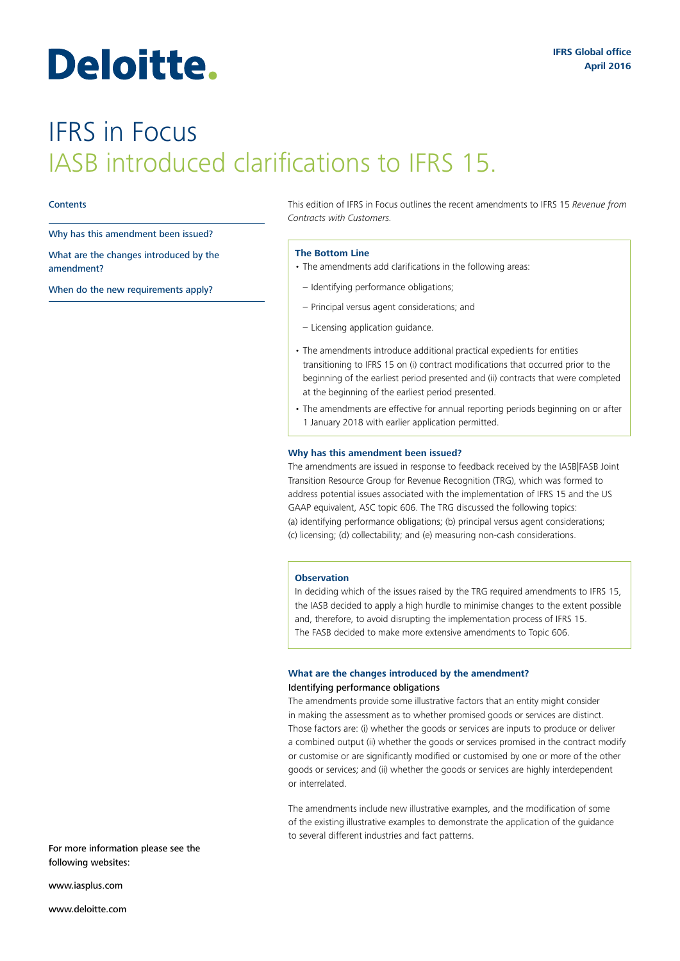# Deloitte.

## IFRS in Focus IASB introduced clarifications to IFRS 15.

#### **Contents**

Why has this amendment been issued?

What are the changes introduced by the amendment?

When do the new requirements apply?

This edition of IFRS in Focus outlines the recent amendments to IFRS 15 *Revenue from Contracts with Customers.*

#### **The Bottom Line**

- The amendments add clarifications in the following areas:
- Identifying performance obligations;
- Principal versus agent considerations; and
- Licensing application guidance.
- The amendments introduce additional practical expedients for entities transitioning to IFRS 15 on (i) contract modifications that occurred prior to the beginning of the earliest period presented and (ii) contracts that were completed at the beginning of the earliest period presented.
- The amendments are effective for annual reporting periods beginning on or after 1 January 2018 with earlier application permitted.

#### **Why has this amendment been issued?**

The amendments are issued in response to feedback received by the IASB|FASB Joint Transition Resource Group for Revenue Recognition (TRG), which was formed to address potential issues associated with the implementation of IFRS 15 and the US GAAP equivalent, ASC topic 606. The TRG discussed the following topics: (a) identifying performance obligations; (b) principal versus agent considerations; (c) licensing; (d) collectability; and (e) measuring non-cash considerations.

#### **Observation**

In deciding which of the issues raised by the TRG required amendments to IFRS 15, the IASB decided to apply a high hurdle to minimise changes to the extent possible and, therefore, to avoid disrupting the implementation process of IFRS 15. The FASB decided to make more extensive amendments to Topic 606.

### **What are the changes introduced by the amendment?** Identifying performance obligations

The amendments provide some illustrative factors that an entity might consider in making the assessment as to whether promised goods or services are distinct. Those factors are: (i) whether the goods or services are inputs to produce or deliver a combined output (ii) whether the goods or services promised in the contract modify or customise or are significantly modified or customised by one or more of the other goods or services; and (ii) whether the goods or services are highly interdependent or interrelated.

The amendments include new illustrative examples, and the modification of some of the existing illustrative examples to demonstrate the application of the guidance to several different industries and fact patterns.

For more information please see the following websites:

www.iasplus.com

www.deloitte.com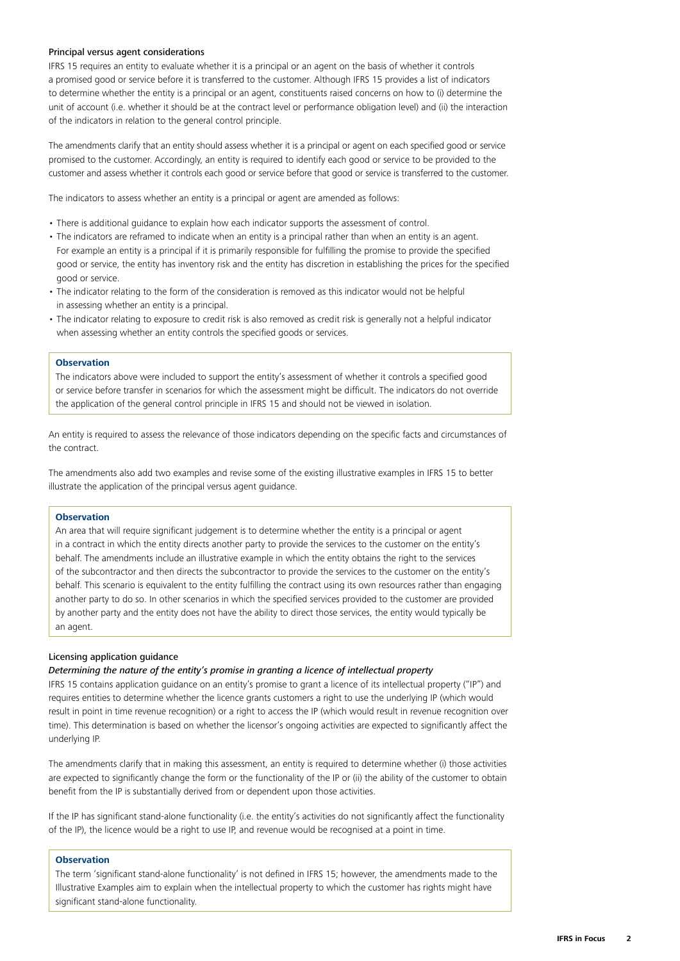#### Principal versus agent considerations

IFRS 15 requires an entity to evaluate whether it is a principal or an agent on the basis of whether it controls a promised good or service before it is transferred to the customer. Although IFRS 15 provides a list of indicators to determine whether the entity is a principal or an agent, constituents raised concerns on how to (i) determine the unit of account (i.e. whether it should be at the contract level or performance obligation level) and (ii) the interaction of the indicators in relation to the general control principle.

The amendments clarify that an entity should assess whether it is a principal or agent on each specified good or service promised to the customer. Accordingly, an entity is required to identify each good or service to be provided to the customer and assess whether it controls each good or service before that good or service is transferred to the customer.

The indicators to assess whether an entity is a principal or agent are amended as follows:

- There is additional guidance to explain how each indicator supports the assessment of control.
- The indicators are reframed to indicate when an entity is a principal rather than when an entity is an agent. For example an entity is a principal if it is primarily responsible for fulfilling the promise to provide the specified good or service, the entity has inventory risk and the entity has discretion in establishing the prices for the specified good or service.
- The indicator relating to the form of the consideration is removed as this indicator would not be helpful in assessing whether an entity is a principal.
- The indicator relating to exposure to credit risk is also removed as credit risk is generally not a helpful indicator when assessing whether an entity controls the specified goods or services.

#### **Observation**

The indicators above were included to support the entity's assessment of whether it controls a specified good or service before transfer in scenarios for which the assessment might be difficult. The indicators do not override the application of the general control principle in IFRS 15 and should not be viewed in isolation.

An entity is required to assess the relevance of those indicators depending on the specific facts and circumstances of the contract.

The amendments also add two examples and revise some of the existing illustrative examples in IFRS 15 to better illustrate the application of the principal versus agent guidance.

#### **Observation**

An area that will require significant judgement is to determine whether the entity is a principal or agent in a contract in which the entity directs another party to provide the services to the customer on the entity's behalf. The amendments include an illustrative example in which the entity obtains the right to the services of the subcontractor and then directs the subcontractor to provide the services to the customer on the entity's behalf. This scenario is equivalent to the entity fulfilling the contract using its own resources rather than engaging another party to do so. In other scenarios in which the specified services provided to the customer are provided by another party and the entity does not have the ability to direct those services, the entity would typically be an agent.

#### Licensing application guidance

#### *Determining the nature of the entity's promise in granting a licence of intellectual property*

IFRS 15 contains application guidance on an entity's promise to grant a licence of its intellectual property ("IP") and requires entities to determine whether the licence grants customers a right to use the underlying IP (which would result in point in time revenue recognition) or a right to access the IP (which would result in revenue recognition over time). This determination is based on whether the licensor's ongoing activities are expected to significantly affect the underlying IP.

The amendments clarify that in making this assessment, an entity is required to determine whether (i) those activities are expected to significantly change the form or the functionality of the IP or (ii) the ability of the customer to obtain benefit from the IP is substantially derived from or dependent upon those activities.

If the IP has significant stand-alone functionality (i.e. the entity's activities do not significantly affect the functionality of the IP), the licence would be a right to use IP, and revenue would be recognised at a point in time.

#### **Observation**

The term 'significant stand-alone functionality' is not defined in IFRS 15; however, the amendments made to the Illustrative Examples aim to explain when the intellectual property to which the customer has rights might have significant stand-alone functionality.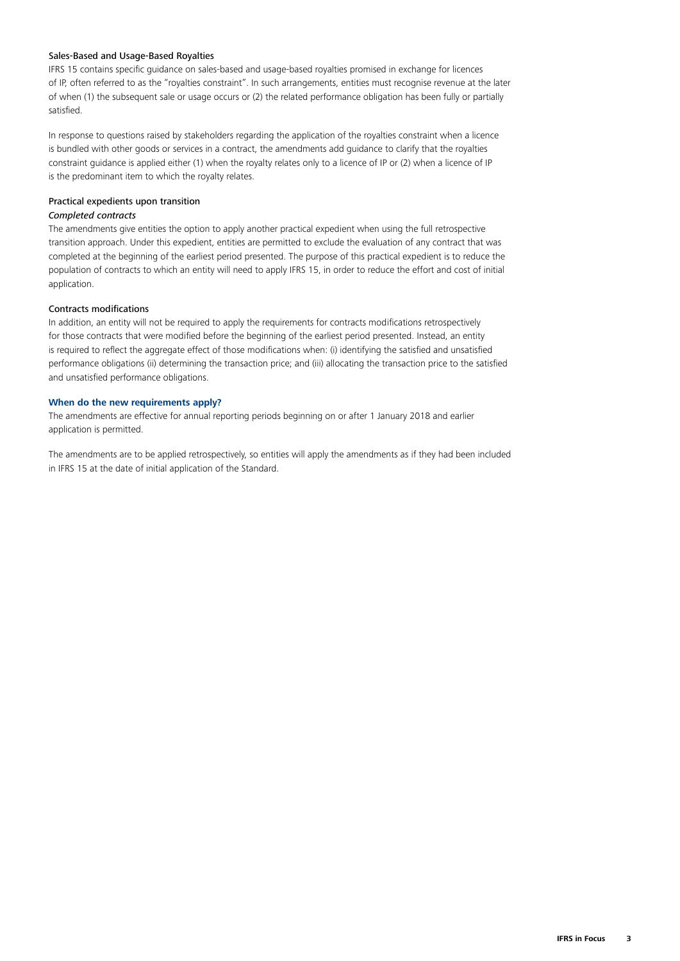#### Sales-Based and Usage-Based Royalties

IFRS 15 contains specific guidance on sales-based and usage-based royalties promised in exchange for licences of IP, often referred to as the "royalties constraint". In such arrangements, entities must recognise revenue at the later of when (1) the subsequent sale or usage occurs or (2) the related performance obligation has been fully or partially satisfied.

In response to questions raised by stakeholders regarding the application of the royalties constraint when a licence is bundled with other goods or services in a contract, the amendments add guidance to clarify that the royalties constraint guidance is applied either (1) when the royalty relates only to a licence of IP or (2) when a licence of IP is the predominant item to which the royalty relates.

#### Practical expedients upon transition

#### *Completed contracts*

The amendments give entities the option to apply another practical expedient when using the full retrospective transition approach. Under this expedient, entities are permitted to exclude the evaluation of any contract that was completed at the beginning of the earliest period presented. The purpose of this practical expedient is to reduce the population of contracts to which an entity will need to apply IFRS 15, in order to reduce the effort and cost of initial application.

#### Contracts modifications

In addition, an entity will not be required to apply the requirements for contracts modifications retrospectively for those contracts that were modified before the beginning of the earliest period presented. Instead, an entity is required to reflect the aggregate effect of those modifications when: (i) identifying the satisfied and unsatisfied performance obligations (ii) determining the transaction price; and (iii) allocating the transaction price to the satisfied and unsatisfied performance obligations.

#### **When do the new requirements apply?**

The amendments are effective for annual reporting periods beginning on or after 1 January 2018 and earlier application is permitted.

The amendments are to be applied retrospectively, so entities will apply the amendments as if they had been included in IFRS 15 at the date of initial application of the Standard.